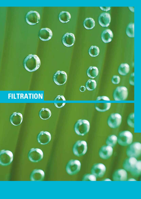# **FILTRATION** $\boldsymbol{\nu}$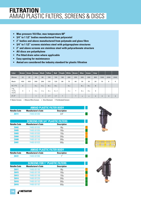- **Max pressure 10.0 Bar, max temperature 60O**
- **3/4" to 1 1/2" bodies manufactured from polyacetal**
- **2" bodies and above manufactured from polymade and glass fibre**
- **3/4" to 1 1/2" screens stainless steel with polypropylene structures**
- **2" and above screens are stainless steel with polycarbonate structure**
- **All discs are polyethylene**
- **Pre fitted drain valve where applicable**
- **Easy opening for maintenance**
- **Amiad are considered the industry standard for plastic filtration**

| Color                                                              | <b>Brown</b> |         | Green Orange                    | <b>Black</b>                    | Yellow     | Red                                     | Purple  | White                           | Brown   | <b>Blue</b>                     | Green                           | Gray      |           |           |           |
|--------------------------------------------------------------------|--------------|---------|---------------------------------|---------------------------------|------------|-----------------------------------------|---------|---------------------------------|---------|---------------------------------|---------------------------------|-----------|-----------|-----------|-----------|
| Micron                                                             | 22           | 25      | 50                              | 80                              | 100        | 130                                     | 180     | 200                             | 250     | 300                             | 500                             | 800       | 1500      | 2500      | 3500      |
| Mesh                                                               | 450          | 450     | 300                             | 200                             | 155        | 120                                     | 80      | 75                              | 60      | 50                              | 30                              | 20        | 10        | 6         | 4         |
| $3/4$ ", 1"C                                                       | ш            |         | $\blacksquare$ $\blacktriangle$ | $\blacksquare$ $\blacktriangle$ | ■▲         | ■▲                                      |         | $\blacksquare$ $\blacktriangle$ |         | $\blacksquare$ $\blacktriangle$ | $\blacksquare$ $\blacktriangle$ | ш         |           |           |           |
| $1^{\prime\prime}$ S,<br>$1\frac{1}{2}$ $C_r$<br>$1\frac{1}{2}$ "S | ш            | $\star$ | ■▲                              | III A                           | ■▲         | $\blacksquare$ $\blacktriangle$ $\star$ |         | ■▲                              | $\star$ | ■▲                              | ■▲                              | ш         |           |           |           |
| $2''$ , $3''$                                                      |              |         | ▲                               | ▲                               | <b>▲ ★</b> | ▲★                                      | $\star$ |                                 | $\star$ | $\blacktriangle$                | $\blacktriangle$                | $\bullet$ | $\bullet$ | $\bullet$ | $\bullet$ |

■ Nylon Screen A Weave Wire Screen \* Disc Element · Perforated Screen

|              | <b>AMIAD PLASTIC FILTER BODY</b> |                    |  |
|--------------|----------------------------------|--------------------|--|
| Netafim Code | <b>Manufacturer's Code</b>       | <b>Description</b> |  |
| 76111        | 74400-001090                     | 3/4"               |  |

|                     | <b>SCREENS FOR 3/4" PLASTIC FILTERS</b> |                    |  |
|---------------------|-----------------------------------------|--------------------|--|
| <b>Netafim Code</b> | <b>Manufacturer's Code</b>              | <b>Description</b> |  |
| <b>Z6402</b>        | 74480-001055                            | 80 <sub>µ</sub>    |  |
| <b>Z6405</b>        | 74480-001050                            | 100 <sub>µ</sub>   |  |
| <b>Z6403</b>        | 74480-001000                            | 130 <sub>µ</sub>   |  |
| <b>Z6404</b>        | 74480-001040                            | 200 <sub>µ</sub>   |  |
| <b>Z6400</b>        | 74480-001100                            | 300 <sub>µ</sub>   |  |
| 76401               | 74480-001020                            | 500 <sub>u</sub>   |  |

|              | <b>AMIAD PLASTIC FILTER BODY</b> |                    |  |
|--------------|----------------------------------|--------------------|--|
| Netafim Code | <b>Manufacturer's Code</b>       | <b>Description</b> |  |
| 76121        | 74400-001990                     |                    |  |

| <b>SCREENS FOR 1" PLASTIC FILTERS</b> |                            |                    |  |  |
|---------------------------------------|----------------------------|--------------------|--|--|
| <b>Netafim Code</b>                   | <b>Manufacturer's Code</b> | <b>Description</b> |  |  |
| Z6411                                 | 74480-001185               | 80 <sub>µ</sub>    |  |  |
| Z6415                                 | 74480-001190               | 100 <sub>µ</sub>   |  |  |
| Z6413                                 | 74480-001188               | 130 <sub>µ</sub>   |  |  |
| <b>Z6414</b>                          | 74480-001250               | 200 <sub>µ</sub>   |  |  |
| <b>Z6410</b>                          | 74480-001192               | 300 <sub>µ</sub>   |  |  |
| <b>Z6416</b>                          | 74480-001187               | 500 <sub>u</sub>   |  |  |





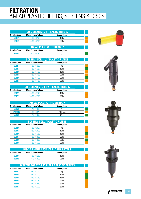| DISC ELEMENTS 1" PLASTIC FILTERS. |                            |                    |  |  |
|-----------------------------------|----------------------------|--------------------|--|--|
| Netafim Code                      | <b>Manufacturer's Code</b> | <b>Description</b> |  |  |
| <b>Z6417</b>                      | 74480-003120               | 100u               |  |  |
| 76412                             | 74480-003150               | 250u               |  |  |
|                                   |                            |                    |  |  |

|                     | <b>AMIAD PLASTIC FILTER BODY</b> |                    |  |
|---------------------|----------------------------------|--------------------|--|
| <b>Netafim Code</b> | <b>Manufacturer's Code</b>       | <b>Description</b> |  |
| 76144               | 74410-000780                     | 11/2"              |  |

|                     | <b>SCREENS FOR 1 1/2" PLASTIC FILTERS</b> |                    |  |  |  |
|---------------------|-------------------------------------------|--------------------|--|--|--|
| <b>Netafim Code</b> | <b>Manufacturer's Code</b>                | <b>Description</b> |  |  |  |
| <b>Z6421</b>        | 74480-001390                              | 80 <sub>µ</sub>    |  |  |  |
| <b>Z6425</b>        | 74480-001397                              | 100 <sub>U</sub>   |  |  |  |
| <b>Z6423</b>        | 74480-001400                              | 130 <sub>U</sub>   |  |  |  |
| <b>Z6424</b>        | 74480-001460                              | 200 <sub>µ</sub>   |  |  |  |
| <b>Z6420</b>        | 74480-001470                              | 300 <sub>µ</sub>   |  |  |  |
| <b>Z6426</b>        | 74480-001480                              | 500 <sub>U</sub>   |  |  |  |

| DISC ELEMENTS 1 1/2" PLASTIC FILTERS |                            |                    |  |  |
|--------------------------------------|----------------------------|--------------------|--|--|
| Netafim Code                         | <b>Manufacturer's Code</b> | <b>Description</b> |  |  |
| <b>Z6427</b>                         | 74480-002720               | 100u               |  |  |
| 76422                                | 74480-002770               | 250u               |  |  |

| <b>AMIAD PLASTIC T FILTER BODY</b> |                            |                    |  |  |
|------------------------------------|----------------------------|--------------------|--|--|
| Netafim Code                       | <b>Manufacturer's Code</b> | <b>Description</b> |  |  |
| <b>Z6158</b>                       | 74410-001395               | 2"T                |  |  |
| D198995                            | 74480-066910               | 2" T Super         |  |  |
| 76168                              | 74410-001955               | ้ ?" T             |  |  |

|                     | <b>SCREENS FOR 2" PLASTIC FILTERS</b> |                    |  |  |  |
|---------------------|---------------------------------------|--------------------|--|--|--|
| <b>Netafim Code</b> | <b>Manufacturer's Code</b>            | <b>Description</b> |  |  |  |
| <b>Z6428</b>        | 74480-002027                          | 80 <sub>µ</sub>    |  |  |  |
| <b>Z6435</b>        | 74480-002020                          | 100 <sub>U</sub>   |  |  |  |
| <b>Z6429</b>        | 74480-001750                          | 130 <sub>U</sub>   |  |  |  |
| <b>Z6431</b>        | 74480-001900                          | 200 <sub>µ</sub>   |  |  |  |
| <b>Z6430</b>        | 74480-001800                          | 300 <sub>U</sub>   |  |  |  |
| <b>Z6433</b>        | 74480-001770                          | 500 <sub>U</sub>   |  |  |  |

| <b>DISC ELEMENTS FOR 2"T PLASTIC FILTERS</b> |                            |                    |  |  |
|----------------------------------------------|----------------------------|--------------------|--|--|
| Netafim Code                                 | <b>Manufacturer's Code</b> | <b>Description</b> |  |  |
| <b>Z6437</b>                                 | 74480-003280               | 100u               |  |  |
| 76432                                        | 74410-001930               | 250u               |  |  |

#### **SCREENS FOR 3"T & 2"SUPER T PLASTIC FILTERS**

| <b>Netafim Code</b> | <b>Manufacturer's Code</b> | <b>Description</b> |  |
|---------------------|----------------------------|--------------------|--|
| <b>Z6441</b>        | 74480-001730               | 80 <sub>µ</sub>    |  |
| <b>Z6445</b>        | 74480-001720               | 100 <sub>µ</sub>   |  |
| <b>Z6443</b>        | 74480-002250               | 130 <sub>µ</sub>   |  |
| <b>Z6444</b>        | 74480-002240               | 200 <sub>µ</sub>   |  |
| <b>Z6440</b>        | 74480-001550               | 300 <sub>µ</sub>   |  |
| <b>Z6446</b>        | 74480-002230               | 500 <sub>µ</sub>   |  |







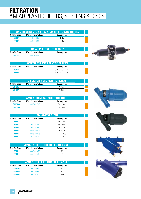| <b>DISC ELEMENTS FOR 3"T &amp; 2" SUPER T PLASTIC FILTERS</b> |                            |                    |  |
|---------------------------------------------------------------|----------------------------|--------------------|--|
| Netafim Code                                                  | <b>Manufacturer's Code</b> | <b>Description</b> |  |
| <b>Z6447</b>                                                  | 74480-003370               | 100u               |  |
| 76442                                                         | 74480-003388               | 250u               |  |

| <b>AMIAD PLASTIC FILTER BODY</b> |                            |                    |  |
|----------------------------------|----------------------------|--------------------|--|
| Netafim Code                     | <b>Manufacturer's Code</b> | <b>Description</b> |  |
| D <sub>200517</sub>              | 74480-066980               | $3"$ ITS           |  |



| <b>SCREEN FOR 3"LTS PLASTIC FILTERS"</b>                         |  |                    |  |
|------------------------------------------------------------------|--|--------------------|--|
| Netafim Code<br><b>Manufacturer's Code</b><br><b>Description</b> |  |                    |  |
| <b>Z6458</b>                                                     |  | 3" LTS 100µ 2 x 2" |  |
| <b>Z6459</b>                                                     |  | 3″ LTS 300u 2 x 2″ |  |

| <b>DISCS FOR 3"LTS PLASTIC FILTERS</b>                           |  |                  |  |  |
|------------------------------------------------------------------|--|------------------|--|--|
| Netafim Code<br><b>Description</b><br><b>Manufacturer's Code</b> |  |                  |  |  |
| <b>Z6461B</b>                                                    |  | $2 \times 100$ u |  |  |
| Z6461A                                                           |  | $2 \times 250$ u |  |  |

| <b>AMIAD CHEMICAL RESISTANT FILTER</b>                           |              |                  |  |
|------------------------------------------------------------------|--------------|------------------|--|
| Netafim Code<br><b>Description</b><br><b>Manufacturer's Code</b> |              |                  |  |
| D <sub>200100</sub>                                              | 74400-001500 | $3/4"$ 130 $\mu$ |  |
| D200090                                                          |              | 3/4"300u         |  |

| <b>AMIAD ECO FILTER</b>                                                 |              |                       |  |  |
|-------------------------------------------------------------------------|--------------|-----------------------|--|--|
| <b>Netafim Code</b><br><b>Manufacturer's Code</b><br><b>Description</b> |              |                       |  |  |
| <b>Z6464</b>                                                            |              | 3/4" 100 <sub>µ</sub> |  |  |
| Z6463                                                                   | 74400-008050 | $3/4"300\mu$          |  |  |
| <b>Z6466</b>                                                            | 74400-002560 | $1"100\mu$            |  |  |
| <b>Z6465</b>                                                            | 10001-000027 | $1"300\mu$            |  |  |
| <b>Z6468</b>                                                            | 10003-000023 | 11/2" 100µ            |  |  |
| <b>Z6467</b>                                                            | 74410-000300 | 11/2" 300µ            |  |  |

| <b>AMIAD STEEL FILTER BODIES THREADED</b>                        |              |      |  |
|------------------------------------------------------------------|--------------|------|--|
| <b>Description</b><br>Netafim Code<br><b>Manufacturer's Code</b> |              |      |  |
| <b>Z6301</b>                                                     | 74440-001420 |      |  |
| 76341                                                            | 74440-001450 | ູ ວ" |  |

| <b>AMIAD STEEL FILTER BODIES FLANGED</b> |                            |                    |  |
|------------------------------------------|----------------------------|--------------------|--|
| Netafim Code                             | <b>Manufacturer's Code</b> | <b>Description</b> |  |
| D <sub>201067</sub>                      | 74480-066900               | יי ר               |  |
| D <sub>201233</sub>                      | 74480-066950               | ر?                 |  |
| D201347                                  | 74480-067010               | 4" Super           |  |







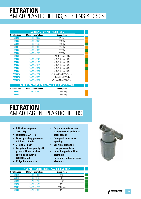| <b>Netafim Code</b> | <b>Manufacturer's Code</b> | <b>Description</b>         |  |
|---------------------|----------------------------|----------------------------|--|
|                     |                            |                            |  |
| <b>Z6428</b>        | 74480-002027               | $2''80\mu$                 |  |
| <b>Z6435</b>        | 74480-002020               | $2''100\mu$                |  |
| <b>Z6429</b>        | 74480-001750               | $2''$ 130 $\mu$            |  |
| Z6431               | 74480-001900               | 2" 200µ                    |  |
| <b>Z6430</b>        | 74480-001800               | $2''300\mu$                |  |
| <b>Z6433</b>        | 74480-001770               | $2"500\mu$                 |  |
| <b>Z6456</b>        |                            | 3" & 4" Compact 80µ        |  |
| <b>Z6455</b>        | 74480-002120               | 3" & 4" Compact 100µ       |  |
| <b>Z6454</b>        | 74480-002100               | 3" & 4" Compact 130µ       |  |
| <b>Z6453</b>        | 74480-062610               | 3" & 4" Compact 200µ       |  |
| <b>Z6450</b>        | 74480-002267               | 3" & 4" Compact 300µ       |  |
| <b>Z6449</b>        | 74480-002202               | 3" & 4" Compact 500µ       |  |
| D301129             | 74480-002257               | 4" Super Metal 100µ Yellow |  |
| D301128             | 74480-002260               | 4" Super Metal 130µ Red    |  |
| D301126             | 74480-002262               | 4" Super Metal 300µ Blue   |  |

| <b>DISC ELEMENTS FOR METAL &amp; PLASTIC FILTERS</b>             |              |               |  |
|------------------------------------------------------------------|--------------|---------------|--|
| Netafim Code<br><b>Manufacturer's Code</b><br><b>Description</b> |              |               |  |
| <b>Z6457</b>                                                     | 74480-062650 | 3" Metal 100u |  |
| <b>Z6452</b>                                                     |              | 3" Metal 250u |  |

# **FILTRATION** AMIAD TAGLINE PLASTIC FILTERS

- **Filtration degrees 300µ - 80µ**
- **Diameters 3/4" 3"**
- **Max operating pressure 8.0 Bar (120 psi)**
- **2" and 3" BSP**
- **Irrigation high quality all plastic filters for flow rates up to 50m3 /h (220 USgpm)**
- **Polyethylene discs**
- **Poly carbonate screen structure with stainless steel screen**
- **Designed to be easy opening**
- **Easy maintenance**
- **Low pressure loss**
- **Interchangeable filter elements**
- **Screen cylinders or disc elements**

| <b>AMIAD TAGLINE FILTER c/w 130µ SCREEN</b> |                            |                    |  |
|---------------------------------------------|----------------------------|--------------------|--|
| <b>Netafim Code</b>                         | <b>Manufacturer's Code</b> | <b>Description</b> |  |
| Z6112                                       | 74400-001950               | 3/4"               |  |
| Z6116                                       | 74400-002400               | 1 <sup>''</sup>    |  |
| <b>Z6122</b>                                | 74410-001190               | 11/2"              |  |
| <b>Z6126</b>                                | 74410-001410               | 2"T                |  |
| Z6132                                       | 74410-001710               | 2" T Super         |  |
| <b>Z6136</b>                                | 74410-001990               | 3″                 |  |

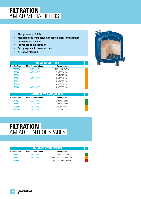## **FILTRATION** AMIAD MEDIA FILTERS

- **Max pressure 10.0 Bar**
- **Manufactured from polyester coated steel for maximum corrosion resistance**
- **Proven for depth filtration**
- **Easily replaced screen nozzles**
- **2" BSP, 3" flanged**

| <b>AMIAD SAND FILTER</b> |                            |                          |  |
|--------------------------|----------------------------|--------------------------|--|
| <b>Netafim Code</b>      | <b>Manufacturer's Code</b> | <b>Description</b>       |  |
| <b>D500023</b>           | 74420-010160               | 11/2" x 16" 8m3/h        |  |
| <b>Z6200</b>             | 74420-010200               | 2" x 20" 14m3/h          |  |
| <b>Z6210</b>             |                            | 2" x 24" 20m3/h          |  |
| <b>Z6201</b>             | 74420-010210               | $3''$ x 20" 14m3/h       |  |
| <b>Z6211</b>             |                            | 3" x 24" 20m3/h          |  |
| <b>Z6220</b>             |                            | $3''$ x $30''$ 24m $3/h$ |  |
| <b>Z6230</b>             | 74420-010230               | $3''$ x $36''$ $36m3/h$  |  |

| <b>ANTHRACITE SAND/GRAVEL</b> |                            |                      |  |
|-------------------------------|----------------------------|----------------------|--|
| <b>Netafim Code</b>           | <b>Manufacturer's Code</b> | <b>Description</b>   |  |
| <b>Z6280B</b>                 | 02223-500043               | $0.8$ mm x $1.2$ mm  |  |
| <b>Z6281</b>                  | 02223-500044               | $1.0$ mm x $2.00$ mm |  |
| D303385                       | 74480-018080               | Nozzle 2000          |  |
| <b>D500063</b>                | 74480-061250               | Lid Seal 2000        |  |

# **FILTRATION** AMIAD CONTROL SPARES

| <b>AMIAD CONTROL SPARES</b> |                            |                            |  |
|-----------------------------|----------------------------|----------------------------|--|
| <b>Netafim Code</b>         | <b>Manufacturer's Code</b> | <b>Description</b>         |  |
| <b>Z6511</b>                | 74480-018442               | DC Filter Controller       |  |
| <b>Z6512</b>                | 74480-018444               | Amiad Filter AC Power Pack |  |
| <b>Z4350</b>                |                            | Tagil 12v Alkaline Battery |  |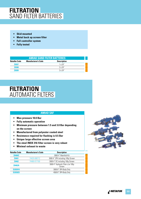## **FILTRATION** SAND FILTER BATTERIES

- **Skid mounted**
- **Metal back up screen filter**
- **Full controller system**
- **Fully tested**

| <b>AMIAD SAND FILTER BATTERIES</b> |                            |                    |  |
|------------------------------------|----------------------------|--------------------|--|
| Netafim Code                       | <b>Manufacturer's Code</b> | <b>Description</b> |  |
| <b>Z6507</b>                       |                            | $1 \times 24''$    |  |
| <b>Z6508</b>                       |                            | 2x24"              |  |
| 76509                              |                            | $3 \times 74$ "    |  |

#### **FILTRATION** AUTOMATIC FILTERS

#### **AMIAD SAF**

- **Max pressure 10.0 Bar**
- **Fully automatic operation**
- **Minimum pressure between 1.5 and 3.0 Bar depending on the screen**
- **Manufactured from polyester coated steel**
- **Resistance required for flushing is 0.5 Bar**
- **Unique large effective screen area**
- **The steel INOX 316 filter screen is very robust**
- **Minimal exhaust to waste**

| <b>Netafim Code</b> | <b>Manufacturer's Code</b> | <b>Description</b>                          |  |
|---------------------|----------------------------|---------------------------------------------|--|
| <b>Z6460C</b>       |                            | 3000 4" Manifold Kit                        |  |
| <b>Z6461</b>        | 74420-006712               | 3000 4" 3PH including 100µ Screen           |  |
| <b>Z6462</b>        | 74480-017100               | 3000 4" DC including 100µ Screen            |  |
| <b>Z6462A</b>       |                            | 3000 4" Hydraulic Filter c/w 100µ<br>Screen |  |
| D203010             |                            | 3000 6" 3PH Body Only                       |  |
| D203025             |                            | 4500 6" 3PH Body Only                       |  |



<sub>▲</sub>↓ NETAFIM **151**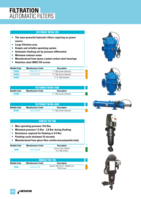## **FILTRATION** AUTOMATIC FILTERS

#### **FILTOMAT M100-750**

- **The most powerful hydraulic filters requiring no power source**
- **Large filtration area**
- **Simple and reliable operating system**
- **Automatic flushing set by pressure differential**
- **Minimum exhaust water**
- **Manufactured from epoxy coated carbon steel housings**
- **Stainless steel INOX 316 screen**

| <b>Netafim Code</b> | <b>Manufacturer's Code</b> | <b>Description</b>       |  |
|---------------------|----------------------------|--------------------------|--|
| <b>Z6462F</b>       | 74420-001710               | 2" 100µ Screen Hydraulic |  |
| <b>Z6462D</b>       | 74420-001825               | 3" 100µ Screen Hydraulic |  |
| <b>Z6462E</b>       |                            | 3" FL 100µ Hydraulic     |  |

| <b>FILTOMAT M100-1500</b> |                            |                          |  |  |
|---------------------------|----------------------------|--------------------------|--|--|
| Netafim Code              | <b>Manufacturer's Code</b> | <b>Description</b>       |  |  |
| <b>Z6462B</b>             |                            | 4" 100µ Screen Hydraulic |  |  |

| <b>FILTOMAT M100-4500</b> |                            |                          |  |
|---------------------------|----------------------------|--------------------------|--|
| Netafim Code              | <b>Manufacturer's Code</b> | <b>Description</b>       |  |
| Z6462C                    | 74420-002045               | 4" 100µ Screen Hydraulic |  |

#### **AMIAD TAF 500**

- **Max operating pressure 10.0 Bar**
- **Minimum pressure 1.5 Bar 2.0 Bar during flushing**
- **Resistance required for flushing is 0.5 Bar**
- **Flushing cycle minimum 16 seconds**
- **Manufactured from glass fibre reinforced polyamide body**

| Netafim Code | <b>Manufacturer's Code</b> | <b>Description</b>                        |  |
|--------------|----------------------------|-------------------------------------------|--|
| <b>Z6362</b> | 74420-001088               | Electric Filter 240VAC<br>c/w 100µ Screen |  |

| <b>AMIAD TAF 750</b> |                            |                                                  |  |
|----------------------|----------------------------|--------------------------------------------------|--|
| Netafim Code         | <b>Manufacturer's Code</b> | <b>Description</b>                               |  |
| 76361                | 74420-001180               | Electric 750 Filter 3" 240VAC c/w<br>100u Screen |  |







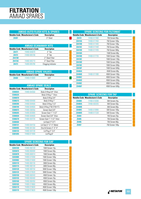## **FILTRATION** AMIAD SPARES

|               | <b>AMIAD AUTO FLUSH KITS &amp; SPARES</b> |                    |  |
|---------------|-------------------------------------------|--------------------|--|
|               | <b>Netafim Code Manufacturer's Code</b>   | <b>Description</b> |  |
| <b>Z6381</b>  |                                           | 3" Steel           |  |
|               |                                           |                    |  |
|               | <b>AMIAD SCANAWAY KITS</b>                |                    |  |
|               | <b>Netafim Code Manufacturer's Code</b>   | <b>Description</b> |  |
| Z6471         | 74480-005670                              | 2" Tee             |  |
| <b>Z6472</b>  | 74480-005190                              | 3" Tee             |  |
| <b>Z6473B</b> |                                           | 2" Steel Filter    |  |
| <b>Z6473A</b> | 74480-005710                              | 3" Steel Filter    |  |
| <b>Z6473</b>  | 74480-005790                              | Clogging Indicator |  |

| <b>AMIAD SPARE VALVES</b> |                                         |                    |  |
|---------------------------|-----------------------------------------|--------------------|--|
|                           | <b>Netafim Code Manufacturer's Code</b> | <b>Description</b> |  |
| 76460                     | 74480-010900                            | 3/4"               |  |

| <b>AMIAD SPARE SEALS</b> |                                         |                            |  |
|--------------------------|-----------------------------------------|----------------------------|--|
|                          | <b>Netafim Code Manufacturer's Code</b> | <b>Description</b>         |  |
| D300025                  | 74480-004300                            | Body O-Ring 3/4" Viton     |  |
| D300225                  |                                         | Body O-Ring 1" Viton       |  |
| <b>D300070</b>           |                                         | Body 0-Ring 3/4"           |  |
| D300215                  | 74480-004400                            | Body 0-Ring 1"             |  |
| <b>D300300</b>           | 74480-004500                            | Body 0-Ring 11/2"          |  |
| D300709                  | 74480-004600                            | Body O-Ring 2"M-3"M-4"S    |  |
| D300075                  | 74480-008350                            | Screen Seal 3/4"           |  |
| D300265                  | 74480-003800                            | Screen Seal 1"-11/2"       |  |
| <b>D300030</b>           | 74480-004000                            | Screen Seal 3/4" Viton     |  |
| D300270                  | 74480-003720                            | Screen Seal 1"-11/2" Viton |  |
| D300460                  |                                         | Lid Seal 2"T-3"T           |  |
| D300721                  | 74480-004150                            | Lid Seal 2"-3"-4" Metal    |  |
| D300495                  | 74480-061300                            | Disc & Screen 2"-3"-4"     |  |
| D300724                  | 74480-004100                            | Lid Plug 2"-3-4"           |  |
| D301095                  | 74480-011840                            | Lid Plug 6"                |  |

|         | <b>SPARE SCREENS FOR SAF</b>            |                    |  |
|---------|-----------------------------------------|--------------------|--|
|         | <b>Netafim Code Manufacturer's Code</b> | <b>Description</b> |  |
| D203100 | 74480-060100                            | 1500 Screen 10µ    |  |
| D203075 | 74480-060000                            | 1500 Screen 50µ    |  |
| D203078 | 74480-060010                            | 1500 Screen 80µ    |  |
| D203080 | 74480-019390                            | 1500 Screen 100µ   |  |
| D203082 | 74480-019400                            | 1500 Screen 130µ   |  |
| D203110 | 74480-060130                            | 3000 Screen 50µ    |  |
| D203115 | 74480-060140                            | 3000 Screen 80µ    |  |
| D203120 | 74480-060150                            | 3000 Screen 100µ   |  |
| D203125 | 74480-019520                            | 3000 Screen 130µ   |  |
| D203150 | 74480-060440                            | 4500 Screen 10u    |  |
| D203155 | 74480-060400                            | 4500 Screen 25µ    |  |
| D203160 | 74480-060450                            | 4500 Screen 50µ    |  |
| D203165 | 74480-019660                            | 4500 Screen 80µ    |  |
| D203170 | 74480-019640                            | 4500 Screen 100µ   |  |
| D203175 | 74480-019620                            | 4500 Screen 130µ   |  |

|               | <b>SPARE SCREENS FOR FILTOMAT</b>       |                    |  |
|---------------|-----------------------------------------|--------------------|--|
|               | <b>Netafim Code Manufacturer's Code</b> | <b>Description</b> |  |
| Z6419         | 74480-017460                            | 750 Screen 80µ     |  |
| <b>Z6419A</b> | 74480-017450                            | 750 Screen 100µ    |  |
| <b>Z6419B</b> | 74480-017445                            | 750 Screen 130µ    |  |
| Z6419C        | 74480-017440                            | 750 Screen 200µ    |  |
| <b>Z6419D</b> | 74480-017435                            | 750 Screen 300u    |  |
| <b>Z6418A</b> |                                         | 1500 Screen 80µ    |  |
| <b>Z6418B</b> | 74480-017735                            | 1500 Screen 100µ   |  |
| Z6418C        |                                         | 1500 Screen 130µ   |  |
| <b>Z6418D</b> |                                         | 1500 Screen 200µ   |  |
| <b>Z6418E</b> |                                         | 1500 Screen 300µ   |  |
| <b>Z6418F</b> |                                         | 1500 Screen 500µ   |  |
| <b>Z6406A</b> |                                         | 4500 Screen 80µ    |  |
| <b>Z6406B</b> | 74480-017490                            | 4500 Screen 100µ   |  |
| <b>Z6406C</b> |                                         | 4500 Screen 130µ   |  |
| <b>Z6406D</b> |                                         | 4500 Screen 200µ   |  |
| <b>Z6406E</b> |                                         | 4500 Screen 300µ   |  |
| <b>Z6406F</b> |                                         | 4500 Screen 500µ   |  |

|               | <b>SPARE SCREENS FOR TAF</b>            |                    |  |
|---------------|-----------------------------------------|--------------------|--|
|               | <b>Netafim Code Manufacturer's Code</b> | <b>Description</b> |  |
| <b>Z6480E</b> | 77480-019380                            | 500 Screen 25µ     |  |
| <b>Z6480A</b> | 74480-002035                            | 500 Screen 50µ     |  |
| <b>Z6480B</b> |                                         | 500 Screen 80µ     |  |
| <b>Z6480C</b> | 74480-019980                            | 500 Screen 100µ    |  |
| <b>Z6480D</b> | 74480-017220                            | 500 Screen 130µ    |  |
| <b>Z6484</b>  |                                         | 750 Screen 25µ     |  |
| Z6485         |                                         | 750 Screen 50µ     |  |
| <b>Z6486</b>  |                                         | 750 Screen 80µ     |  |
| <b>Z6487</b>  |                                         | 750 Screen 100µ    |  |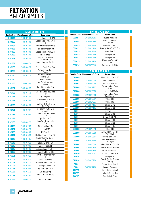## **FILTRATION** AMIAD SPARES

|                | <b>SPARES FOR SAF</b>                   |                                         |
|----------------|-----------------------------------------|-----------------------------------------|
|                | <b>Netafim Code Manufacturer's Code</b> | <b>Description</b>                      |
| D200914        | 74480-020000                            | Control Board Type C 3PH                |
| D200929        | 74480-018360                            | Electric Motor 380v-1/4HP<br>T134       |
| D204094        | 74480-060700                            | <b>Raccord Connector Nipple</b>         |
| D204095        | 74480-060800                            | Raccord Connector Nut                   |
| D204099        | 74480-018069                            | Slotted Spring pin 3x30 T1              |
| D302039        | 74480-060850                            | PDS Midwest                             |
| D302041        | 74480-061180                            | Mag to Limit Swivel<br>Conversion Kit   |
| D302704        | 74480-061070                            | Suction Scanner Bearing<br>$\vert$ 1    |
| D303130        | 74480-006350                            | Pressure Check Point Cap                |
| D303135        | 74480-006370                            | Pressure Check Point<br>Rubber          |
| D303140        | 74480-061270                            | Pressure Check Point<br>Nipple 1/4"     |
| D303150        |                                         | Screen Seal T4<br>Limit Switch Mechanic |
| D303155        | 74480-040000                            | T1346<br>Spare Limit Switch Disc        |
| D303157        | 74480-060953                            | Mechanic                                |
| D303165        | 74480-060870                            | Seal Nut Extension O-Ring<br>T134       |
| D303166        | 74480-060880                            | <b>Sealing Nut</b>                      |
| D303167        | 74480-018000                            | Seal Nut Internal O-Ring<br>T134        |
| <b>D303180</b> | 74480-060950                            | Limit Switch Disc Locking<br>Ring T134  |
| D303181        | 74480-060951                            | Spare Limit Switch Disc<br>Magnetic     |
| D303182        | 74480-018060                            | Connector Pin Drive Shaft<br>T134       |
| D303183        |                                         | Split Pin 1x10 T4                       |
| D303195        | 74480-060952                            | Limit Switch Magnetic<br>T134           |
| D303205        | 74480-017289                            | Drive Shaft Key T134                    |
| D303207        | 74480-006270                            | Lid Seal T13                            |
| D303208        | 74480-060960                            | Lid Seal T4                             |
| D303211        | 74480-012330                            | Flushing Chamber Seal T13               |
| D303212        | 74480-017407                            | <b>Suction Scanner Bearing</b><br>Т3    |
| D303213        | 74480-018020                            | Bearing O-Ring T134                     |
| D303218        | 74480-060968                            | Suction Nozzle T1                       |
| D303219        | 74480-064100                            | <b>Suction Scanner Shaft T1</b>         |
| D303220        | 74480-006260                            | Screen Seal Lower T13                   |
| D303221        | 74480-064020                            | <b>Suction Scanner Assembly</b><br>T3   |
| D303222        | 74480-060970                            | Suction Nozzle T3                       |
| D303223        | 74480-064120                            | <b>Suction Scanner Shaft T3</b>         |
| D303224        | 74480-060980                            | Slot Spring Pin 50x50 T134              |
| D303261        | 74480-018065                            | Split Pin 1.6x12 T13                    |
| D303262        | 74480-061236                            | Locking Spring                          |
| D303263        | 74480-061100                            | <b>Suction Scanner Bearing</b><br>T4    |
| D303264        | 74480-060920                            | Suction Nozzle T4                       |

| <b>SPARES FOR SAF</b> |                                         |                                |  |
|-----------------------|-----------------------------------------|--------------------------------|--|
|                       | <b>Netafim Code Manufacturer's Code</b> | <b>Description</b>             |  |
| D303265               | 74480-061235                            | Housing O-Ring T4              |  |
| D303266               | 74480-062750                            | Screen Adaptor Seal<br>SAF4500 |  |
| D303270               | 74480-012350                            | Screen Seal Upper T13          |  |
| D303271               | 74480-004710                            | Housing Seal (P2-433) T13      |  |
| D303275               | 74480-012310                            | Screen Seal T6                 |  |
| D303276               | 74480-060945                            | 0-Ring P2-459                  |  |
| D303278               | 74480-060965                            | 0-Ring P2-448                  |  |
| D303279               | 74480-061120                            | Manometer Tap 1/4"<br>T1346    |  |
| D303287               | 74480-060910                            | Scanner Nozzle T134            |  |

|               | <b>SPARES FOR TAF</b>                   |                                                      |
|---------------|-----------------------------------------|------------------------------------------------------|
|               | <b>Netafim Code Manufacturer's Code</b> | <b>Description</b>                                   |
| D204080       |                                         | Electric Controller 220V                             |
| D204081       | 74480-066000                            | <b>Electric Drive Unit</b>                           |
| D204082       | 74480-066050                            | <b>Electric Drive Shaft</b>                          |
| D204083       | 74480-017227                            | Electric Endless Worm<br>Shaft                       |
| D204084       | 74480-018066                            | Hollow Pin 3x40 St.St                                |
| D204085       | 74480-066200                            | <b>Electric Endless Worm</b><br><b>Shaft Housing</b> |
| D204086       | 74480-018027                            | O-Ring 40x3                                          |
| D204087       | 74480-004665                            | O-Ring 10x2                                          |
| D204093       | 74480-014135                            | 0-Ring P2-112                                        |
| D204096       | 74480-014145                            | 0-Ring P2-125                                        |
| Z6490         |                                         | 0-Ring 3.5x45                                        |
| Z6493         |                                         | 0-Ring P2-355                                        |
| <b>Z6494</b>  |                                         | O-Ring P2-331 NIT                                    |
| <b>Z6496</b>  |                                         | 0-Ring P2-008                                        |
| Z6497         |                                         | 0-Ring P2-225                                        |
| Z6498         |                                         | 0-Ring P2-437                                        |
| D204088       | 74480-018023                            | O-Ring 30x3                                          |
| D204089       | 74480-017290                            | <b>ACC Electronic Endless</b><br>Worm Shaft          |
| D204090       | 74480-010857                            | <b>Electric Tooth Spring</b>                         |
| D204091       | 74480-011540                            | Pressure Differential<br>Switch (UE)                 |
| D204092       | 74480-066600                            | Solenoid Valve 24VAC-NO                              |
| D204097       | 74480-066100                            | <b>Electric Suction Scanner</b>                      |
| D204098       | 74480-066150                            | <b>Suction Scanner Shaft</b>                         |
| D204100       | 74480-018067                            | Hollow Pin 3x20 St.St                                |
| D204101       |                                         | 0-Ring P2-242                                        |
| D204102       | 74480-066250                            | <b>Electric Suction Scanner</b><br>Bearing           |
| <b>Z6481</b>  |                                         | <b>Electric Conversion Kit</b>                       |
| Z6482         | 74480-017100                            | Hydraulic Pressostat                                 |
| <b>Z6482A</b> |                                         | Hydraulic Motor Seal                                 |
| <b>Z6482B</b> |                                         | Hydraulic Rubber Seal                                |
| <b>Z6482C</b> |                                         | Seal for Ball Valve                                  |